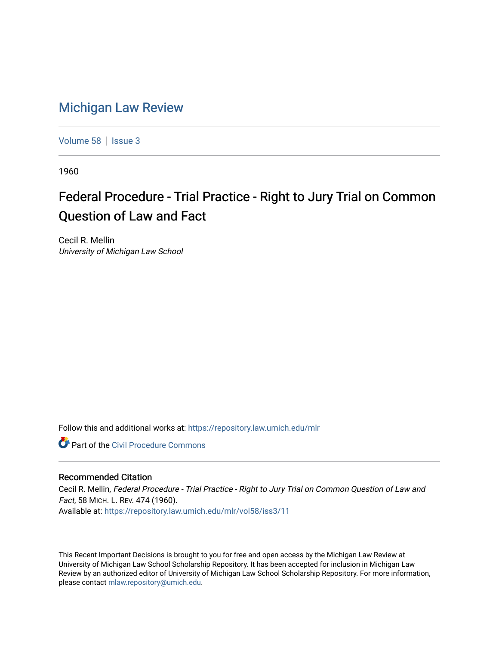## [Michigan Law Review](https://repository.law.umich.edu/mlr)

[Volume 58](https://repository.law.umich.edu/mlr/vol58) | [Issue 3](https://repository.law.umich.edu/mlr/vol58/iss3)

1960

## Federal Procedure - Trial Practice - Right to Jury Trial on Common Question of Law and Fact

Cecil R. Mellin University of Michigan Law School

Follow this and additional works at: [https://repository.law.umich.edu/mlr](https://repository.law.umich.edu/mlr?utm_source=repository.law.umich.edu%2Fmlr%2Fvol58%2Fiss3%2F11&utm_medium=PDF&utm_campaign=PDFCoverPages) 

**C** Part of the Civil Procedure Commons

## Recommended Citation

Cecil R. Mellin, Federal Procedure - Trial Practice - Right to Jury Trial on Common Question of Law and Fact, 58 MICH. L. REV. 474 (1960). Available at: [https://repository.law.umich.edu/mlr/vol58/iss3/11](https://repository.law.umich.edu/mlr/vol58/iss3/11?utm_source=repository.law.umich.edu%2Fmlr%2Fvol58%2Fiss3%2F11&utm_medium=PDF&utm_campaign=PDFCoverPages) 

This Recent Important Decisions is brought to you for free and open access by the Michigan Law Review at University of Michigan Law School Scholarship Repository. It has been accepted for inclusion in Michigan Law Review by an authorized editor of University of Michigan Law School Scholarship Repository. For more information, please contact [mlaw.repository@umich.edu.](mailto:mlaw.repository@umich.edu)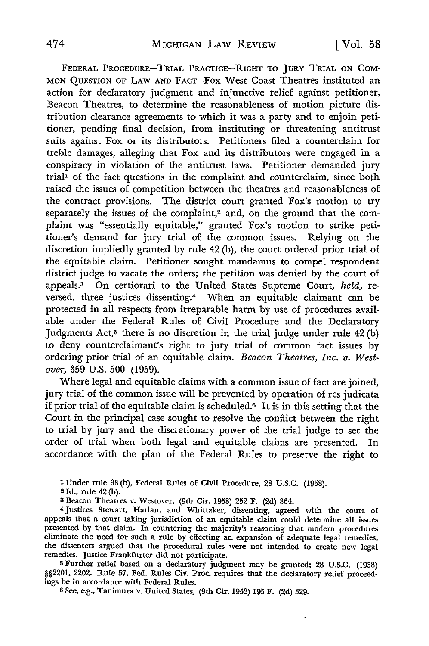FEDERAL PROCEDURE-TRIAL PRACTICE-RIGHT TO JURY TRIAL ON COM-MON QUESTION OF LAW AND FACT-Fox West Coast Theatres instituted an action for declaratory judgment and injunctive relief against petitioner, Beacon Theatres, to determine the reasonableness of motion picture distribution clearance agreements to which it was a party and to enjoin petitioner, pending final decision, from instituting or threatening antitrust suits against Fox or its distributors. Petitioners filed a counterclaim for treble damages, alleging that Fox and its distributors were engaged in a conspiracy in violation of the antitrust laws. Petitioner demanded jury trial<sup>1</sup> of the fact questions in the complaint and counterclaim, since both raised the issues of competition between the theatres and reasonableness of the contract provisions. The district court granted Fox's motion to try separately the issues of the complaint,<sup>2</sup> and, on the ground that the complaint was "essentially equitable," granted Fox's motion to strike petitioner's demand for jury trial of the common issues. Relying on the discretion impliedly granted by rule 42 (b), the court ordered prior trial of the equitable claim. Petitioner sought mandamus to compel respondent district judge to vacate the orders; the petition was denied by the court of appeals.3 On certiorari to the United States Supreme Court, *held,* reversed, three justices dissenting.4 When an equitable claimant can be protected in all respects from irreparable harm by use of procedures available under the Federal Rules of Civil Procedure and the Declaratory Judgments Act,<sup>5</sup> there is no discretion in the trial judge under rule  $42$  (b) to deny counterclaimant's right to jury trial of common fact issues by ordering prior trial of an equitable claim. *Beacon Theatres, Inc. v. Westover,* 359 U.S. 500 (1959).

Where legal and equitable claims with a common issue of fact are joined, jury trial of the common issue will be prevented by operation of res judicata if prior trial of the equitable claim is scheduled.6 It is in this setting that the Court in the principal case sought to resolve the conflict between the right to trial by jury and the discretionary power of the trial judge to set the order of trial when both legal and equitable claims are presented. In accordance with the plan of the Federal Rules to preserve the right to

1 Under rule 38 (b), Federal Rules of Civil Procedure, 28 U.S.C. (1958).

<sup>2</sup>Id., rule 42 (b).

3 Beacon Theatres v. Westover, (9th Cir. 1958) 252 F. (2d) 864.

4 Justices Stewart, Harlan, and Whittaker, dissenting, agreed with the court of appeals that a court taking jurisdiction of an equitable claim could determine all issues presented by that claim. In countering the majority's reasoning that modern procedures eliminate the need for such a rule by effecting an expansion of adequate legal remedies, the dissenters argued that the procedural rules were not intended to create new legal remedies. Justice Frankfurter did not participate.

<sup>5</sup>Further relief based on a declaratory judgment may be granted; 28 U.S.C. (1958) §§2201, 2202. Rule 57, Fed. Rules Civ. Proc. requires that the declaratory relief proceedings be in accordance with Federal Rules.

 $\ddot{\phantom{0}}$ 

6 See, e.g., Tanimura v. United States, (9th Cir. 1952) 195 F. (2d) 329.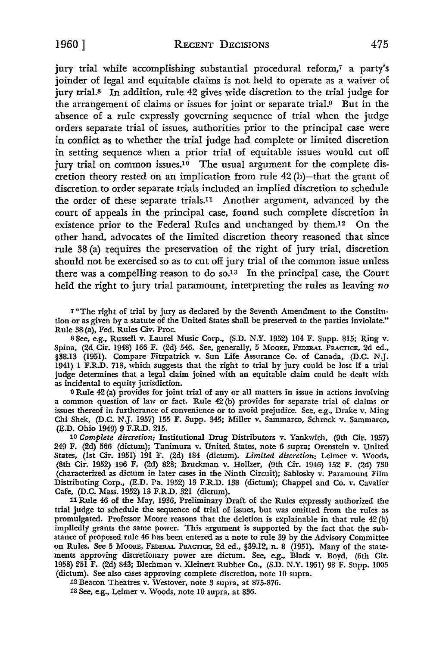1960] RECENT DECISIONS 475

jury trial while accomplishing substantial procedural reform,<sup>7</sup> a party's joinder of legal and equitable claims is not held to operate as a waiver of jury trial.8 In addition, rule 42 gives wide discretion to the trial judge for the arrangement of claims or issues for joint or separate trial.9 But in the absence of a rule expressly governing sequence of trial when the judge orders separate trial of issues, authorities prior to the principal case were in conflict as to whether the trial judge had complete or limited discretion in setting sequence when a prior trial of equitable issues would cut off jury trial on common issues.<sup>10</sup> The usual argument for the complete discretion theory rested on an implication from rule 42 (b)-that the grant of discretion to order separate trials included an implied discretion to schedule the order of these separate trials.11 Another argument, advanced by the court of appeals in the principal case, found such complete discretion in existence prior to the Federal Rules and unchanged by them.<sup>12</sup> On the other hand, advocates of the limited discretion theory reasoned that since rule 38 (a) requires the preservation of the right of jury trial, discretion should not be exercised so as to cut off jury trial of the common issue unless there was a compelling reason to do so.<sup>13</sup> In the principal case, the Court held the right to jury trial paramount, interpreting the rules as leaving *no* 

7 "The right of trial by jury as declared by the Seventh Amendment to the Constitution or as given by a statute of the United States shall be preserved to the parties inviolate." Rule 38 (a), Fed. Rules Civ. Proc.

s See, e.g., Russell v. Laurel Music Corp., (S.D. N.Y. 1952) 104 F. Supp. 815; Ring v. Spina, (2d Cir. 1948) 166 F. (2d) 546. See, generally, 5 Moore, FEDERAL PRACTICE, 2d ed., §38.13 (1951). Compare Fitzpatrick v. Sun Life Assurance Co. of Canada, (D.C. N.J. 1941) I F.R.D. 713, which suggests that the right to trial by jury could be lost if a trial judge determines that a legal claim joined with an equitable claim could be dealt with as incidental to equity jurisdiction.

<sup>9</sup>Rule 42 (a) provides for joint trial of any or all matters in issue in actions involving a common question of law or fact. Rule 42 (b) provides for separate trial of claims or issues thereof in furtherance of convenience or to avoid prejudice. See, e.g., Drake v. Ming Chi Shek, (D.C. N.J. 1957) 155 F. Supp. 345; Miller v. Sammarco, Schrock v. Sammarco, (E.D. Ohio 1949) 9 F.R.D. 215.

10 *Complete discretion:* Institutional Drug Distributors v. Yankwich, (9th Cir. 1957) 249 F. (2d) 566 (dictum); Tanimura v. United States, note 6 supra; Orenstein v. United States, (1st Cir. 1951) 191 F. (2d) 184 (dictum). *Limited discretion:* Leimer v. Woods, (8th Cir. 1952) 196 F. (2d) 828; Bruckman v. Hollzer, (9th Cir. 1946) 152 F. (2d) 730 (characterized as dictum in later cases in the Ninth Circuit); Sablosky v. Paramount Film Distributing Corp., (E.D. Pa. 1952) 13 F.R.D. 138 (dictum); Chappel and Co. v. Cavalier Cafe, (D.C. Mass. 1952) 13 F.R.D. 321 (dictum).

11 Rule 46 of the May, 1936, Preliminary Draft of the Rules expressly authorized the trial judge to schedule the sequence of trial of issues, but was omitted from the rules as promulgated. Professor Moore reasons that the deletion is explainable in that rule 42 (b) impliedly grants the same power. This argument is supported by the fact that the substance of proposed rule 46 has been entered as a note to rule 39 by the Advisory Committee on Rules. See 5 MOORE, FEDERAL PRACTICE, 2d ed., §39.12, n. 8 (1951). Many of the statements approving discretionary power are dictum. See, e.g., Black v. Boyd, (6th Cir. 1958) 251 F. (2d) 843; Blechman v. Kleinert Rubber Co., (S.D. N.Y. 1951) 98 F. Supp. 1005 (dictum). See also cases approving complete discretion, note 10 supra.

12 Beacon Theatres v. Westover, note 3 supra, at 875-876.

13 See, e.g., Leimer v. Woods, note 10 supra, at 836.